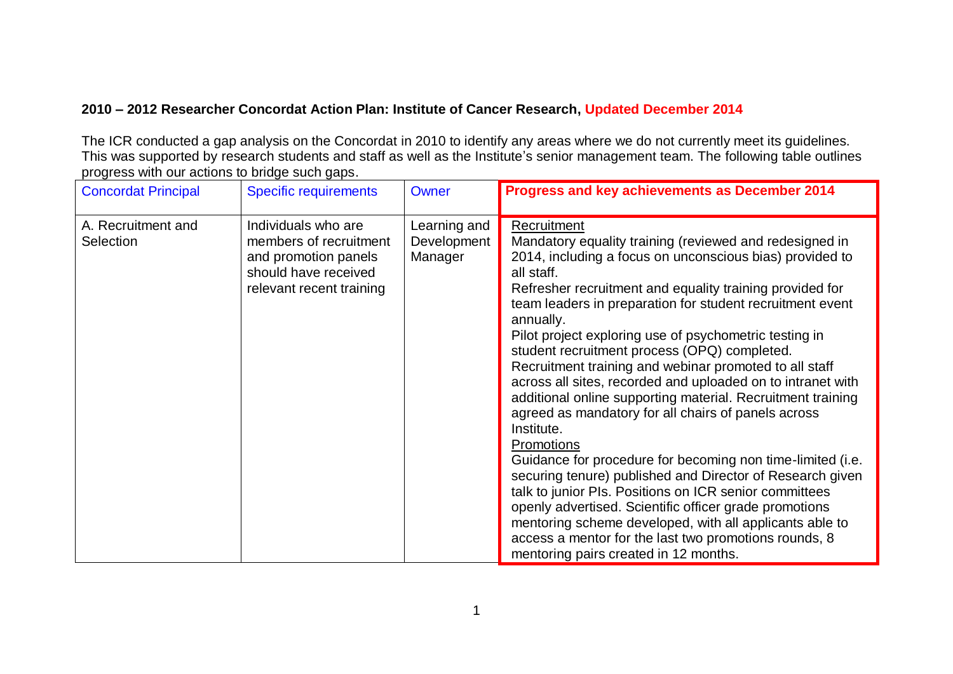## **2010 – 2012 Researcher Concordat Action Plan: Institute of Cancer Research, Updated December 2014**

The ICR conducted a gap analysis on the Concordat in 2010 to identify any areas where we do not currently meet its guidelines. This was supported by research students and staff as well as the Institute's senior management team. The following table outlines progress with our actions to bridge such gaps.

| <b>Concordat Principal</b>      | <b>Specific requirements</b>                                                                                              | <b>Owner</b>                           | Progress and key achievements as December 2014                                                                                                                                                                                                                                                                                                                                                                                                                                                                                                                                                                                                                                                                                                                                                                                                                                                                                                                                                                                                                                          |
|---------------------------------|---------------------------------------------------------------------------------------------------------------------------|----------------------------------------|-----------------------------------------------------------------------------------------------------------------------------------------------------------------------------------------------------------------------------------------------------------------------------------------------------------------------------------------------------------------------------------------------------------------------------------------------------------------------------------------------------------------------------------------------------------------------------------------------------------------------------------------------------------------------------------------------------------------------------------------------------------------------------------------------------------------------------------------------------------------------------------------------------------------------------------------------------------------------------------------------------------------------------------------------------------------------------------------|
| A. Recruitment and<br>Selection | Individuals who are<br>members of recruitment<br>and promotion panels<br>should have received<br>relevant recent training | Learning and<br>Development<br>Manager | Recruitment<br>Mandatory equality training (reviewed and redesigned in<br>2014, including a focus on unconscious bias) provided to<br>all staff.<br>Refresher recruitment and equality training provided for<br>team leaders in preparation for student recruitment event<br>annually.<br>Pilot project exploring use of psychometric testing in<br>student recruitment process (OPQ) completed.<br>Recruitment training and webinar promoted to all staff<br>across all sites, recorded and uploaded on to intranet with<br>additional online supporting material. Recruitment training<br>agreed as mandatory for all chairs of panels across<br>Institute.<br>Promotions<br>Guidance for procedure for becoming non time-limited (i.e.<br>securing tenure) published and Director of Research given<br>talk to junior PIs. Positions on ICR senior committees<br>openly advertised. Scientific officer grade promotions<br>mentoring scheme developed, with all applicants able to<br>access a mentor for the last two promotions rounds, 8<br>mentoring pairs created in 12 months. |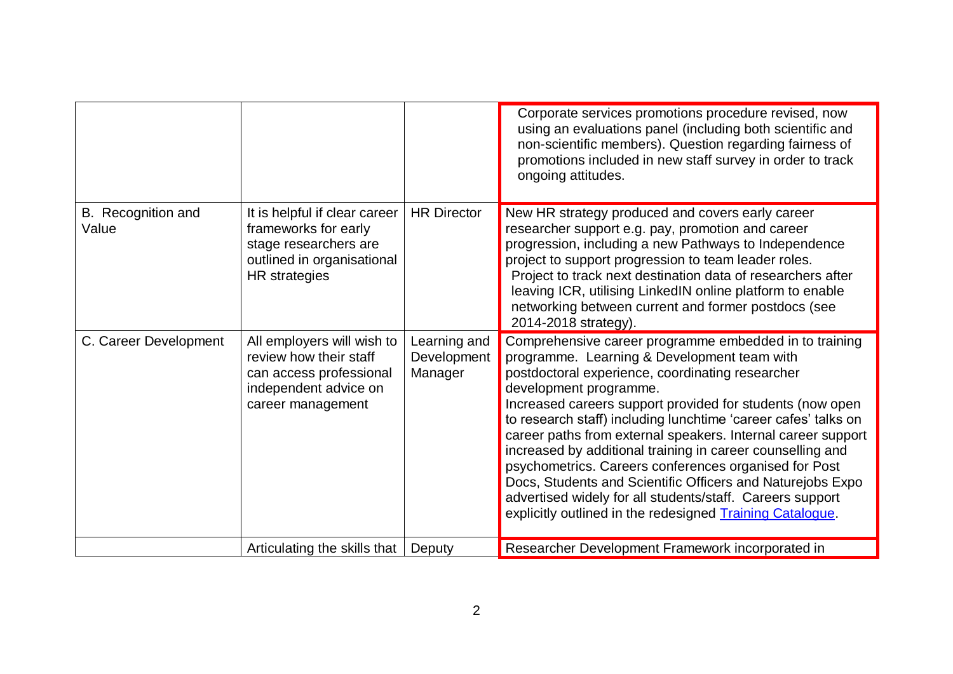|                             |                                                                                                                               |                                        | Corporate services promotions procedure revised, now<br>using an evaluations panel (including both scientific and<br>non-scientific members). Question regarding fairness of<br>promotions included in new staff survey in order to track<br>ongoing attitudes.                                                                                                                                                                                                                                                                                                                                                                                                                                   |
|-----------------------------|-------------------------------------------------------------------------------------------------------------------------------|----------------------------------------|---------------------------------------------------------------------------------------------------------------------------------------------------------------------------------------------------------------------------------------------------------------------------------------------------------------------------------------------------------------------------------------------------------------------------------------------------------------------------------------------------------------------------------------------------------------------------------------------------------------------------------------------------------------------------------------------------|
| B. Recognition and<br>Value | It is helpful if clear career<br>frameworks for early<br>stage researchers are<br>outlined in organisational<br>HR strategies | <b>HR Director</b>                     | New HR strategy produced and covers early career<br>researcher support e.g. pay, promotion and career<br>progression, including a new Pathways to Independence<br>project to support progression to team leader roles.<br>Project to track next destination data of researchers after<br>leaving ICR, utilising LinkedIN online platform to enable<br>networking between current and former postdocs (see<br>2014-2018 strategy).                                                                                                                                                                                                                                                                 |
| C. Career Development       | All employers will wish to<br>review how their staff<br>can access professional<br>independent advice on<br>career management | Learning and<br>Development<br>Manager | Comprehensive career programme embedded in to training<br>programme. Learning & Development team with<br>postdoctoral experience, coordinating researcher<br>development programme.<br>Increased careers support provided for students (now open<br>to research staff) including lunchtime 'career cafes' talks on<br>career paths from external speakers. Internal career support<br>increased by additional training in career counselling and<br>psychometrics. Careers conferences organised for Post<br>Docs, Students and Scientific Officers and Naturejobs Expo<br>advertised widely for all students/staff. Careers support<br>explicitly outlined in the redesigned Training Catalogue. |
|                             | Articulating the skills that                                                                                                  | Deputy                                 | Researcher Development Framework incorporated in                                                                                                                                                                                                                                                                                                                                                                                                                                                                                                                                                                                                                                                  |